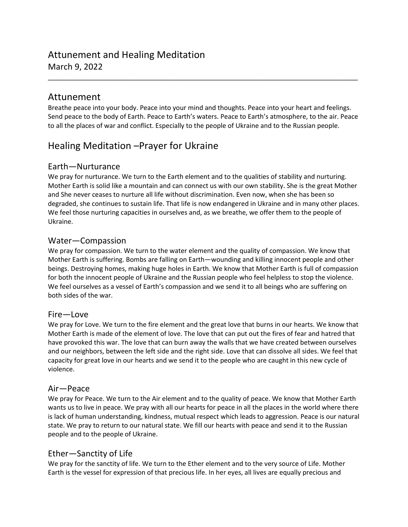## Attunement and Healing Meditation March 9, 2022

## Attunement

Breathe peace into your body. Peace into your mind and thoughts. Peace into your heart and feelings. Send peace to the body of Earth. Peace to Earth's waters. Peace to Earth's atmosphere, to the air. Peace to all the places of war and conflict. Especially to the people of Ukraine and to the Russian people.

\_\_\_\_\_\_\_\_\_\_\_\_\_\_\_\_\_\_\_\_\_\_\_\_\_\_\_\_\_\_\_\_\_\_\_\_\_\_\_\_\_\_\_\_\_\_\_\_\_\_\_\_\_\_\_\_\_\_\_\_\_\_\_\_\_\_\_\_\_\_\_\_\_\_\_\_\_\_\_\_\_\_\_\_\_

# Healing Meditation –Prayer for Ukraine

#### Earth—Nurturance

We pray for nurturance. We turn to the Earth element and to the qualities of stability and nurturing. Mother Earth is solid like a mountain and can connect us with our own stability. She is the great Mother and She never ceases to nurture all life without discrimination. Even now, when she has been so degraded, she continues to sustain life. That life is now endangered in Ukraine and in many other places. We feel those nurturing capacities in ourselves and, as we breathe, we offer them to the people of Ukraine.

### Water—Compassion

We pray for compassion. We turn to the water element and the quality of compassion. We know that Mother Earth is suffering. Bombs are falling on Earth—wounding and killing innocent people and other beings. Destroying homes, making huge holes in Earth. We know that Mother Earth is full of compassion for both the innocent people of Ukraine and the Russian people who feel helpless to stop the violence. We feel ourselves as a vessel of Earth's compassion and we send it to all beings who are suffering on both sides of the war.

#### Fire—Love

We pray for Love. We turn to the fire element and the great love that burns in our hearts. We know that Mother Earth is made of the element of love. The love that can put out the fires of fear and hatred that have provoked this war. The love that can burn away the walls that we have created between ourselves and our neighbors, between the left side and the right side. Love that can dissolve all sides. We feel that capacity for great love in our hearts and we send it to the people who are caught in this new cycle of violence.

#### Air—Peace

We pray for Peace. We turn to the Air element and to the quality of peace. We know that Mother Earth wants us to live in peace. We pray with all our hearts for peace in all the places in the world where there is lack of human understanding, kindness, mutual respect which leads to aggression. Peace is our natural state. We pray to return to our natural state. We fill our hearts with peace and send it to the Russian people and to the people of Ukraine.

### Ether—Sanctity of Life

We pray for the sanctity of life. We turn to the Ether element and to the very source of Life. Mother Earth is the vessel for expression of that precious life. In her eyes, all lives are equally precious and